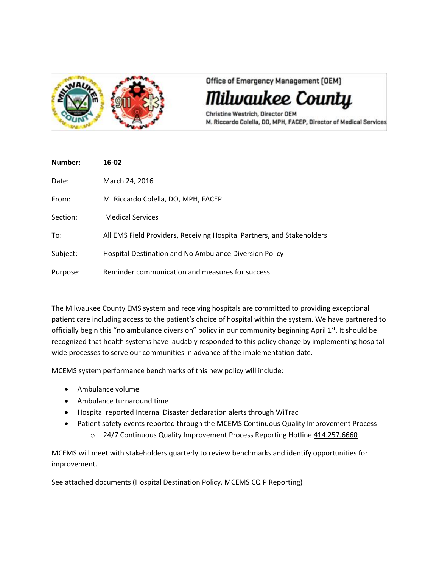

Office of Emergency Management [OEM]

'ilwaukee County

Christine Westrich, Director OEM M. Riccardo Colella, DO, MPH, FACEP, Director of Medical Services

| Number:  | 16-02                                                                  |
|----------|------------------------------------------------------------------------|
| Date:    | March 24, 2016                                                         |
| From:    | M. Riccardo Colella, DO, MPH, FACEP                                    |
| Section: | <b>Medical Services</b>                                                |
| To:      | All EMS Field Providers, Receiving Hospital Partners, and Stakeholders |
| Subject: | Hospital Destination and No Ambulance Diversion Policy                 |
| Purpose: | Reminder communication and measures for success                        |

The Milwaukee County EMS system and receiving hospitals are committed to providing exceptional patient care including access to the patient's choice of hospital within the system. We have partnered to officially begin this "no ambulance diversion" policy in our community beginning April 1<sup>st</sup>. It should be recognized that health systems have laudably responded to this policy change by implementing hospitalwide processes to serve our communities in advance of the implementation date.

MCEMS system performance benchmarks of this new policy will include:

- Ambulance volume
- Ambulance turnaround time
- Hospital reported Internal Disaster declaration alerts through WiTrac
- Patient safety events reported through the MCEMS Continuous Quality Improvement Process
	- o 24/7 Continuous Quality Improvement Process Reporting Hotline 414.257.6660

MCEMS will meet with stakeholders quarterly to review benchmarks and identify opportunities for improvement.

See attached documents (Hospital Destination Policy, MCEMS CQIP Reporting)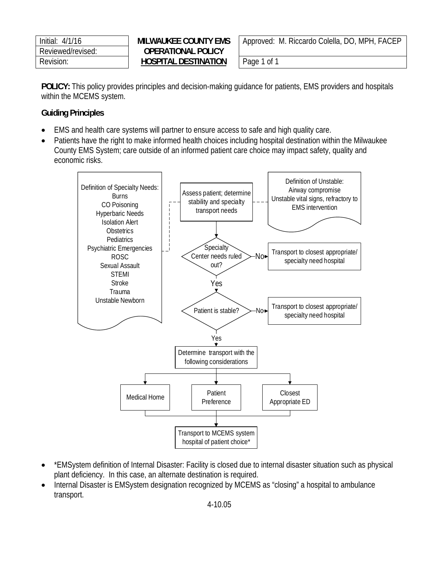| Initial: 4/1/16   |
|-------------------|
| Reviewed/revised: |
| Revision:         |

#### **OPERATIONAL POLICY** Revision: **HOSPITAL DESTINATION** Page 1 of 1

**MILWAUKEE COUNTY EMS** | Approved: M. Riccardo Colella, DO, MPH, FACEP

**POLICY:** This policy provides principles and decision-making guidance for patients, EMS providers and hospitals within the MCEMS system.

#### **Guiding Principles**

- EMS and health care systems will partner to ensure access to safe and high quality care.
- Patients have the right to make informed health choices including hospital destination within the Milwaukee County EMS System; care outside of an informed patient care choice may impact safety, quality and economic risks.



- \*EMSystem definition of Internal Disaster: Facility is closed due to internal disaster situation such as physical plant deficiency. In this case, an alternate destination is required.
- Internal Disaster is EMSystem designation recognized by MCEMS as "closing" a hospital to ambulance transport.